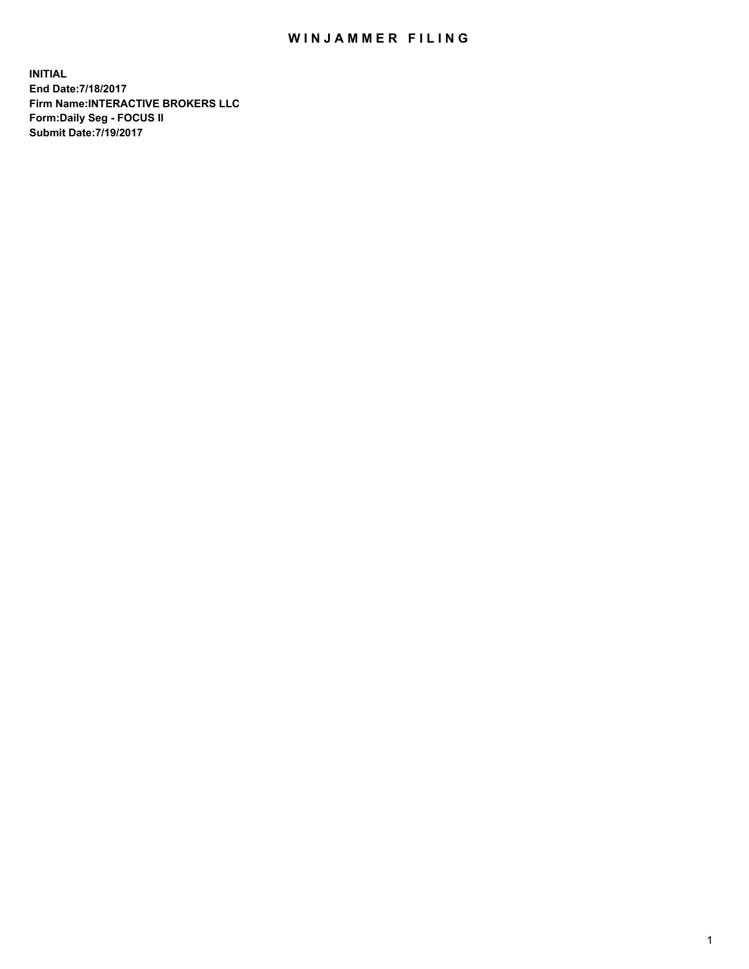## WIN JAMMER FILING

**INITIAL End Date:7/18/2017 Firm Name:INTERACTIVE BROKERS LLC Form:Daily Seg - FOCUS II Submit Date:7/19/2017**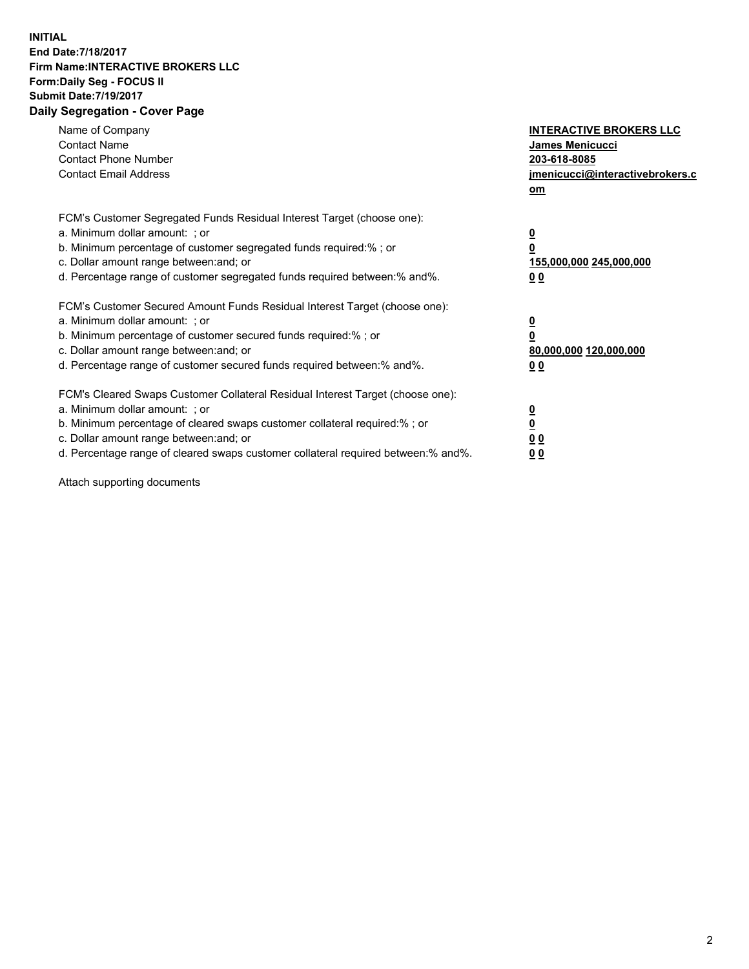## **INITIAL End Date:7/18/2017 Firm Name:INTERACTIVE BROKERS LLC Form:Daily Seg - FOCUS II Submit Date:7/19/2017 Daily Segregation - Cover Page**

| Name of Company<br><b>Contact Name</b><br><b>Contact Phone Number</b><br><b>Contact Email Address</b>                                                                                                                                                                                                                          | <b>INTERACTIVE BROKERS LLC</b><br>James Menicucci<br>203-618-8085<br>jmenicucci@interactivebrokers.c<br>om |
|--------------------------------------------------------------------------------------------------------------------------------------------------------------------------------------------------------------------------------------------------------------------------------------------------------------------------------|------------------------------------------------------------------------------------------------------------|
| FCM's Customer Segregated Funds Residual Interest Target (choose one):<br>a. Minimum dollar amount: ; or<br>b. Minimum percentage of customer segregated funds required:%; or<br>c. Dollar amount range between: and; or<br>d. Percentage range of customer segregated funds required between:% and%.                          | $\overline{\mathbf{0}}$<br>0<br>155,000,000 245,000,000<br>0 <sub>0</sub>                                  |
| FCM's Customer Secured Amount Funds Residual Interest Target (choose one):<br>a. Minimum dollar amount: ; or<br>b. Minimum percentage of customer secured funds required:%; or<br>c. Dollar amount range between: and; or<br>d. Percentage range of customer secured funds required between:% and%.                            | $\overline{\mathbf{0}}$<br>$\overline{\mathbf{0}}$<br>80,000,000 120,000,000<br>00                         |
| FCM's Cleared Swaps Customer Collateral Residual Interest Target (choose one):<br>a. Minimum dollar amount: ; or<br>b. Minimum percentage of cleared swaps customer collateral required:% ; or<br>c. Dollar amount range between: and; or<br>d. Percentage range of cleared swaps customer collateral required between:% and%. | $\overline{\mathbf{0}}$<br>$\overline{\mathbf{0}}$<br>0 <sub>0</sub><br><u>00</u>                          |

Attach supporting documents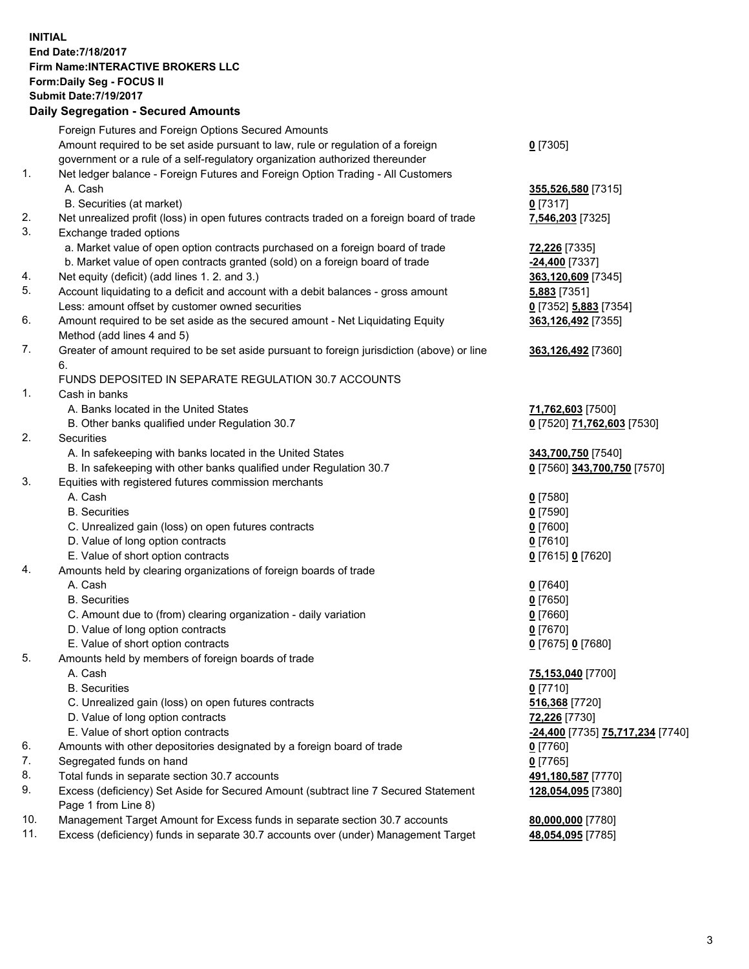## **INITIAL End Date:7/18/2017 Firm Name:INTERACTIVE BROKERS LLC Form:Daily Seg - FOCUS II Submit Date:7/19/2017**<br>Daily Segregation - Secured Amounts **Daily Segregation - Secured**

|     | Daily Segregation - Secured Amounts                                                         |                                  |
|-----|---------------------------------------------------------------------------------------------|----------------------------------|
|     | Foreign Futures and Foreign Options Secured Amounts                                         |                                  |
|     | Amount required to be set aside pursuant to law, rule or regulation of a foreign            | $0$ [7305]                       |
|     | government or a rule of a self-regulatory organization authorized thereunder                |                                  |
| 1.  | Net ledger balance - Foreign Futures and Foreign Option Trading - All Customers             |                                  |
|     | A. Cash                                                                                     | 355,526,580 [7315]               |
|     | B. Securities (at market)                                                                   | $0$ [7317]                       |
| 2.  | Net unrealized profit (loss) in open futures contracts traded on a foreign board of trade   | 7,546,203 [7325]                 |
| 3.  | Exchange traded options                                                                     |                                  |
|     |                                                                                             |                                  |
|     | a. Market value of open option contracts purchased on a foreign board of trade              | 72,226 [7335]                    |
|     | b. Market value of open contracts granted (sold) on a foreign board of trade                | -24,400 [7337]                   |
| 4.  | Net equity (deficit) (add lines 1.2. and 3.)                                                | 363,120,609 [7345]               |
| 5.  | Account liquidating to a deficit and account with a debit balances - gross amount           | 5,883 [7351]                     |
|     | Less: amount offset by customer owned securities                                            | 0 [7352] 5,883 [7354]            |
| 6.  | Amount required to be set aside as the secured amount - Net Liquidating Equity              | 363,126,492 [7355]               |
|     | Method (add lines 4 and 5)                                                                  |                                  |
| 7.  | Greater of amount required to be set aside pursuant to foreign jurisdiction (above) or line | 363,126,492 [7360]               |
|     | 6.                                                                                          |                                  |
|     | FUNDS DEPOSITED IN SEPARATE REGULATION 30.7 ACCOUNTS                                        |                                  |
| 1.  | Cash in banks                                                                               |                                  |
|     | A. Banks located in the United States                                                       | 71,762,603 [7500]                |
|     | B. Other banks qualified under Regulation 30.7                                              | 0 [7520] 71,762,603 [7530]       |
| 2.  | Securities                                                                                  |                                  |
|     | A. In safekeeping with banks located in the United States                                   | 343,700,750 [7540]               |
|     | B. In safekeeping with other banks qualified under Regulation 30.7                          | 0 [7560] 343,700,750 [7570]      |
| 3.  | Equities with registered futures commission merchants                                       |                                  |
|     | A. Cash                                                                                     | <u>0</u> [7580]                  |
|     | <b>B.</b> Securities                                                                        | $0$ [7590]                       |
|     | C. Unrealized gain (loss) on open futures contracts                                         | $0$ [7600]                       |
|     | D. Value of long option contracts                                                           | $0$ [7610]                       |
|     | E. Value of short option contracts                                                          | 0 [7615] 0 [7620]                |
| 4.  | Amounts held by clearing organizations of foreign boards of trade                           |                                  |
|     | A. Cash                                                                                     | 0 [7640]                         |
|     | <b>B.</b> Securities                                                                        | $0$ [7650]                       |
|     | C. Amount due to (from) clearing organization - daily variation                             | $0$ [7660]                       |
|     | D. Value of long option contracts                                                           | $0$ [7670]                       |
|     | E. Value of short option contracts                                                          | 0 [7675] 0 [7680]                |
| 5.  | Amounts held by members of foreign boards of trade                                          |                                  |
|     | A. Cash                                                                                     | 75,153,040 [7700]                |
|     | <b>B.</b> Securities                                                                        | $0$ [7710]                       |
|     | C. Unrealized gain (loss) on open futures contracts                                         | 516,368 [7720]                   |
|     | D. Value of long option contracts                                                           | 72,226 [7730]                    |
|     | E. Value of short option contracts                                                          | -24,400 [7735] 75,717,234 [7740] |
| 6.  | Amounts with other depositories designated by a foreign board of trade                      | 0 [7760]                         |
| 7.  | Segregated funds on hand                                                                    | $0$ [7765]                       |
| 8.  | Total funds in separate section 30.7 accounts                                               | 491,180,587 [7770]               |
| 9.  | Excess (deficiency) Set Aside for Secured Amount (subtract line 7 Secured Statement         |                                  |
|     | Page 1 from Line 8)                                                                         | 128,054,095 [7380]               |
| 10. | Management Target Amount for Excess funds in separate section 30.7 accounts                 | 80,000,000 [7780]                |
| 11. | Excess (deficiency) funds in separate 30.7 accounts over (under) Management Target          | 48,054,095 [7785]                |
|     |                                                                                             |                                  |
|     |                                                                                             |                                  |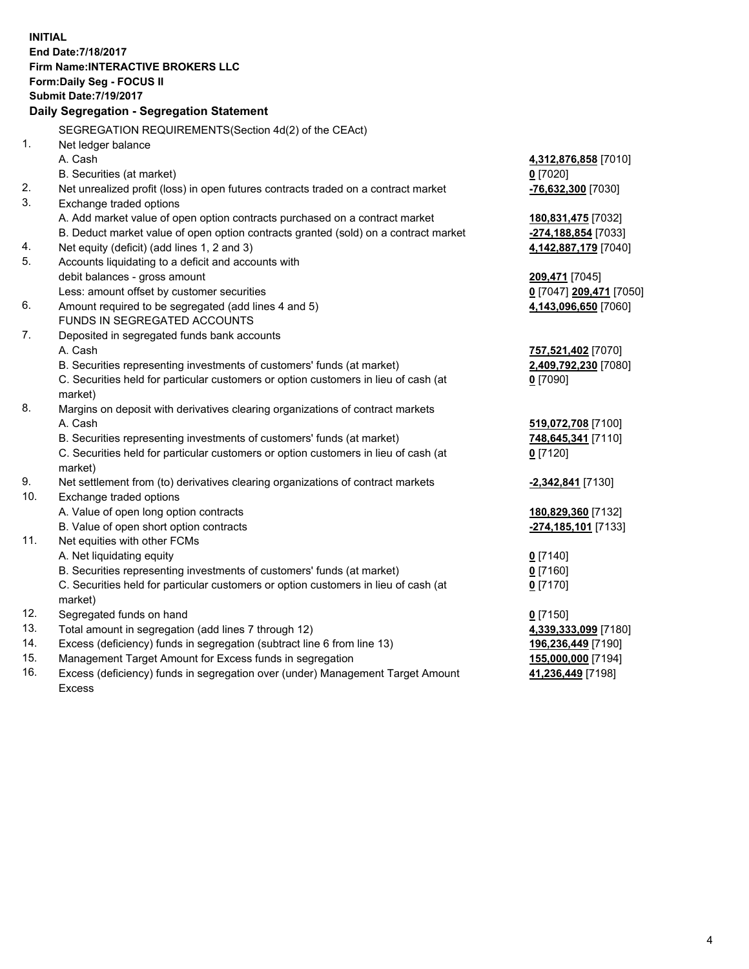**INITIAL End Date:7/18/2017 Firm Name:INTERACTIVE BROKERS LLC Form:Daily Seg - FOCUS II Submit Date:7/19/2017 Daily Segregation - Segregation Statement** SEGREGATION REQUIREMENTS(Section 4d(2) of the CEAct) 1. Net ledger balance A. Cash **4,312,876,858** [7010] B. Securities (at market) **0** [7020] 2. Net unrealized profit (loss) in open futures contracts traded on a contract market **-76,632,300** [7030] 3. Exchange traded options A. Add market value of open option contracts purchased on a contract market **180,831,475** [7032] B. Deduct market value of open option contracts granted (sold) on a contract market **-274,188,854** [7033] 4. Net equity (deficit) (add lines 1, 2 and 3) **4,142,887,179** [7040] 5. Accounts liquidating to a deficit and accounts with debit balances - gross amount **209,471** [7045] Less: amount offset by customer securities **0** [7047] **209,471** [7050] 6. Amount required to be segregated (add lines 4 and 5) **4,143,096,650** [7060] FUNDS IN SEGREGATED ACCOUNTS 7. Deposited in segregated funds bank accounts A. Cash **757,521,402** [7070] B. Securities representing investments of customers' funds (at market) **2,409,792,230** [7080] C. Securities held for particular customers or option customers in lieu of cash (at market) **0** [7090] 8. Margins on deposit with derivatives clearing organizations of contract markets A. Cash **519,072,708** [7100] B. Securities representing investments of customers' funds (at market) **748,645,341** [7110] C. Securities held for particular customers or option customers in lieu of cash (at market) **0** [7120] 9. Net settlement from (to) derivatives clearing organizations of contract markets **-2,342,841** [7130] 10. Exchange traded options A. Value of open long option contracts **180,829,360** [7132] B. Value of open short option contracts **-274,185,101** [7133] 11. Net equities with other FCMs A. Net liquidating equity **0** [7140] B. Securities representing investments of customers' funds (at market) **0** [7160] C. Securities held for particular customers or option customers in lieu of cash (at market) **0** [7170] 12. Segregated funds on hand **0** [7150] 13. Total amount in segregation (add lines 7 through 12) **4,339,333,099** [7180] 14. Excess (deficiency) funds in segregation (subtract line 6 from line 13) **196,236,449** [7190] 15. Management Target Amount for Excess funds in segregation **155,000,000** [7194]

16. Excess (deficiency) funds in segregation over (under) Management Target Amount Excess

**41,236,449** [7198]